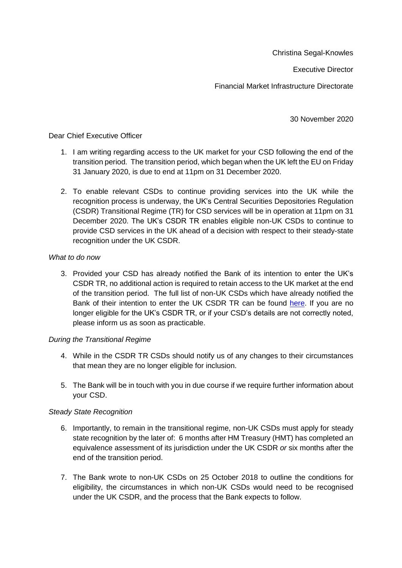Christina Segal-Knowles

Executive Director

Financial Market Infrastructure Directorate

30 November 2020

## Dear Chief Executive Officer

- 1. I am writing regarding access to the UK market for your CSD following the end of the transition period. The transition period, which began when the UK left the EU on Friday 31 January 2020, is due to end at 11pm on 31 December 2020.
- 2. To enable relevant CSDs to continue providing services into the UK while the recognition process is underway, the UK's Central Securities Depositories Regulation (CSDR) Transitional Regime (TR) for CSD services will be in operation at 11pm on 31 December 2020. The UK's CSDR TR enables eligible non-UK CSDs to continue to provide CSD services in the UK ahead of a decision with respect to their steady-state recognition under the UK CSDR.

## *What to do now*

3. Provided your CSD has already notified the Bank of its intention to enter the UK's CSDR TR, no additional action is required to retain access to the UK market at the end of the transition period. The full list of non-UK CSDs which have already notified the Bank of their intention to enter the UK CSDR TR can be found [here.](https://www.bankofengland.co.uk/-/media/boe/files/financial-stability/financial-market-infrastructure-supervision/interim-list-of-third-country-csd.pdf?la=en&hash=3C6C36895859AD0869E651B849B09967F4CE3F1C) If you are no longer eligible for the UK's CSDR TR, or if your CSD's details are not correctly noted, please inform us as soon as practicable.

## *During the Transitional Regime*

- 4. While in the CSDR TR CSDs should notify us of any changes to their circumstances that mean they are no longer eligible for inclusion.
- 5. The Bank will be in touch with you in due course if we require further information about your CSD.

## *Steady State Recognition*

- 6. Importantly, to remain in the transitional regime, non-UK CSDs must apply for steady state recognition by the later of: 6 months after HM Treasury (HMT) has completed an equivalence assessment of its jurisdiction under the UK CSDR *or* six months after the end of the transition period.
- 7. The Bank wrote to non-UK CSDs on 25 October 2018 to outline the conditions for eligibility, the circumstances in which non-UK CSDs would need to be recognised under the UK CSDR, and the process that the Bank expects to follow.